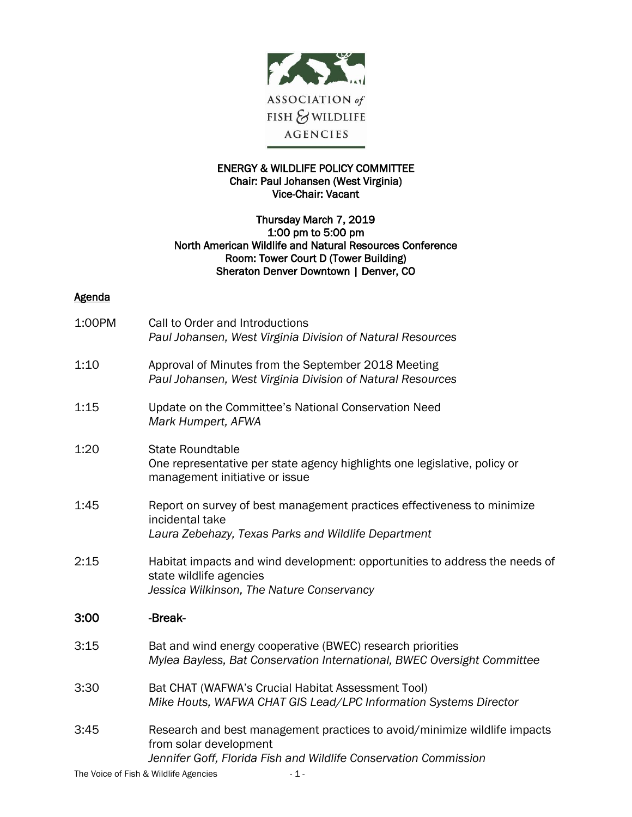

## ENERGY & WILDLIFE POLICY COMMITTEE Chair: Paul Johansen (West Virginia) Vice-Chair: Vacant

## Thursday March 7, 2019 1:00 pm to 5:00 pm North American Wildlife and Natural Resources Conference Room: Tower Court D (Tower Building) Sheraton Denver Downtown | Denver, CO

## **Agenda**

| 1:00PM | Call to Order and Introductions<br>Paul Johansen, West Virginia Division of Natural Resources                                                                           |
|--------|-------------------------------------------------------------------------------------------------------------------------------------------------------------------------|
| 1:10   | Approval of Minutes from the September 2018 Meeting<br>Paul Johansen, West Virginia Division of Natural Resources                                                       |
| 1:15   | Update on the Committee's National Conservation Need<br>Mark Humpert, AFWA                                                                                              |
| 1:20   | <b>State Roundtable</b><br>One representative per state agency highlights one legislative, policy or<br>management initiative or issue                                  |
| 1:45   | Report on survey of best management practices effectiveness to minimize<br>incidental take<br>Laura Zebehazy, Texas Parks and Wildlife Department                       |
| 2:15   | Habitat impacts and wind development: opportunities to address the needs of<br>state wildlife agencies<br>Jessica Wilkinson, The Nature Conservancy                     |
| 3:00   | -Break-                                                                                                                                                                 |
| 3:15   | Bat and wind energy cooperative (BWEC) research priorities<br>Mylea Bayless, Bat Conservation International, BWEC Oversight Committee                                   |
| 3:30   | Bat CHAT (WAFWA's Crucial Habitat Assessment Tool)<br>Mike Houts, WAFWA CHAT GIS Lead/LPC Information Systems Director                                                  |
| 3:45   | Research and best management practices to avoid/minimize wildlife impacts<br>from solar development<br>Jennifer Goff, Florida Fish and Wildlife Conservation Commission |